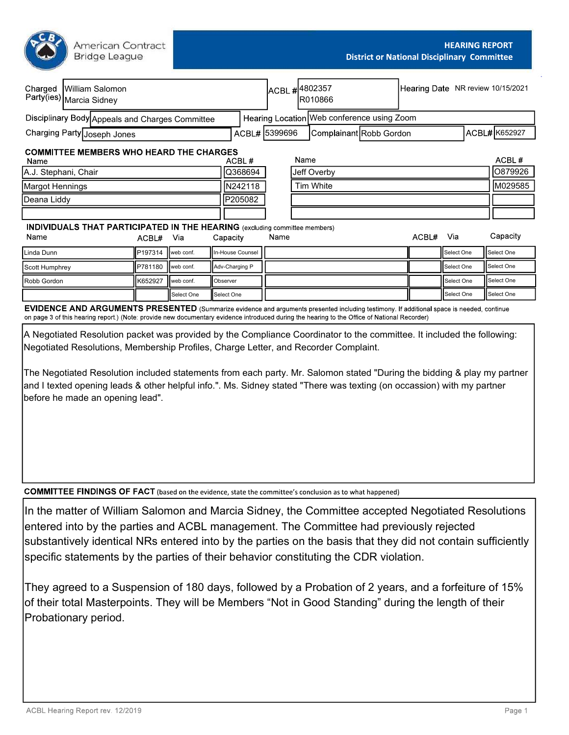American Contract **Bridge League** 

| Charged                                                | William Salomon<br>Party(ies) Marcia Sidney                                       |         |            |                  |               | ACBL #4802357<br>R010866 |             |                                                                                                                                            |            | Hearing Date NR review 10/15/2021 |               |            |
|--------------------------------------------------------|-----------------------------------------------------------------------------------|---------|------------|------------------|---------------|--------------------------|-------------|--------------------------------------------------------------------------------------------------------------------------------------------|------------|-----------------------------------|---------------|------------|
| Disciplinary Body Appeals and Charges Committee        |                                                                                   |         |            |                  |               |                          |             | Hearing Location Web conference using Zoom                                                                                                 |            |                                   |               |            |
| Charging Party Joseph Jones                            |                                                                                   |         |            |                  | ACBL# 5399696 |                          |             | Complainant Robb Gordon                                                                                                                    |            |                                   | ACBL# K652927 |            |
| <b>COMMITTEE MEMBERS WHO HEARD THE CHARGES</b><br>Name |                                                                                   |         |            |                  | ACBL#         |                          | Name        |                                                                                                                                            |            |                                   |               | ACBL#      |
| A.J. Stephani, Chair                                   |                                                                                   |         |            | Q368694          |               |                          | Jeff Overby |                                                                                                                                            |            |                                   | 10879926      |            |
| Margot Hennings                                        |                                                                                   |         |            |                  | IN242118      |                          |             | <b>Tim White</b>                                                                                                                           |            |                                   |               | M029585    |
| Deana Liddy                                            |                                                                                   |         |            |                  | P205082       |                          |             |                                                                                                                                            |            |                                   |               |            |
|                                                        |                                                                                   |         |            |                  |               |                          |             |                                                                                                                                            |            |                                   |               |            |
|                                                        | <b>INDIVIDUALS THAT PARTICIPATED IN THE HEARING</b> (excluding committee members) |         |            |                  |               |                          |             |                                                                                                                                            |            |                                   |               |            |
| Name<br>Via<br>ACBL#                                   |                                                                                   |         |            | Capacity         | Name          |                          |             | ACBL#                                                                                                                                      | Via        |                                   | Capacity      |            |
| Linda Dunn                                             |                                                                                   | P197314 | web conf.  | In-House Counsel |               |                          |             |                                                                                                                                            |            | Select One                        |               | Select One |
| P781180<br>web conf.<br>Scott Humphrey                 |                                                                                   |         |            | Adv-Charging P   |               |                          |             |                                                                                                                                            | Select One |                                   | Select One    |            |
| Robb Gordon<br>K652927<br>I web conf.<br>Observer      |                                                                                   |         |            |                  |               |                          |             | Select One                                                                                                                                 |            | Select One                        |               |            |
|                                                        |                                                                                   |         | Select One |                  | Select One    |                          |             |                                                                                                                                            |            | Select One                        |               | Select One |
|                                                        |                                                                                   |         |            |                  |               |                          |             | EVIDENCE AND ADCHMENTS DDESENTED (Cummatics suidones and accumants accounted including testimony if additional appeal is needed, applicula |            |                                   |               |            |

EVIDENCE AND ARGUMEN I S PRESEN I ED (Summarize evidence and arguments presented including testimony. If additional space is needed, continue on page 3 of this hearing report.) (Note: provide new documentary evidence introduced during the hearing to the Office of National Recorder)

A Negotiated Resolution packet was provided by the Compliance Coordinator to the committee. It included the following: Negotiated Resolutions, Membership Profiles, Charge Letter, and Recorder Complaint.

The Negotiated Resolution included statements from each party. Mr. Salomon stated "During the bidding & play my partner and I texted opening leads & other helpful info.". Ms. Sidney stated "There was texting (on occassion) with my partner before he made an opening lead".

**COMMITTEE FINDINGS OF FACT** (based on the evidence, state the committee's conclusion as to what happened)

In the matter of William Salomon and Marcia Sidney, the Committee accepted Negotiated Resolutions entered into by the parties and ACBL management. The Committee had previously rejected substantively identical NRs entered into by the parties on the basis that they did not contain sufficiently specific statements by the parties of their behavior constituting the CDR violation.

They agreed to a Suspension of 180 days, followed by a Probation of 2 years, and a forfeiture of 15% of their total Masterpoints. They will be Members "Not in Good Standing" during the length of their Probationary period.